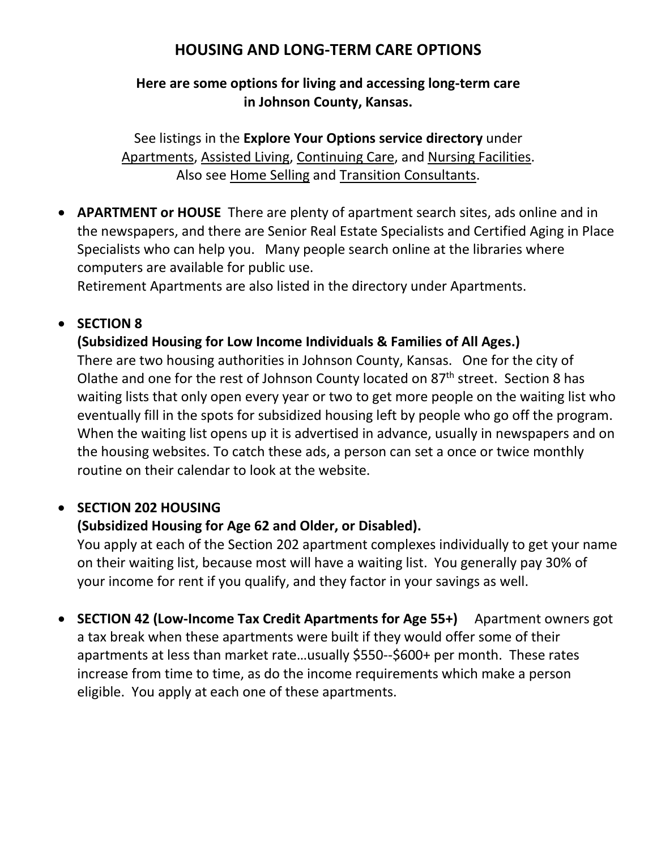# **HOUSING AND LONG-TERM CARE OPTIONS**

#### **Here are some options for living and accessing long-term care in Johnson County, Kansas.**

See listings in the **[Explore Your Options service directory](https://www.jocogov.org/sites/default/files/documents/HSA/2020%20EYO%20Directory%20with%20Bookmarks.pdf)** under Apartments, Assisted Living, Continuing Care, and Nursing Facilities. Also see Home Selling and Transition Consultants.

• **APARTMENT or HOUSE** There are plenty of apartment search sites, ads online and in the newspapers, and there are Senior Real Estate Specialists and Certified Aging in Place Specialists who can help you. Many people search online at the libraries where computers are available for public use.

Retirement Apartments are also listed in the directory under Apartments.

## • **SECTION 8**

#### **(Subsidized Housing for Low Income Individuals & Families of All Ages.)**

There are two housing authorities in Johnson County, Kansas. One for the city of Olathe and one for the rest of Johnson County located on  $87<sup>th</sup>$  street. Section 8 has waiting lists that only open every year or two to get more people on the waiting list who eventually fill in the spots for subsidized housing left by people who go off the program. When the waiting list opens up it is advertised in advance, usually in newspapers and on the housing websites. To catch these ads, a person can set a once or twice monthly routine on their calendar to look at the website.

#### • **SECTION 202 HOUSING**

#### **(Subsidized Housing for Age 62 and Older, or Disabled).**

You apply at each of the Section 202 apartment complexes individually to get your name on their waiting list, because most will have a waiting list. You generally pay 30% of your income for rent if you qualify, and they factor in your savings as well.

• **SECTION 42 (Low-Income Tax Credit Apartments for Age 55+)** Apartment owners got a tax break when these apartments were built if they would offer some of their apartments at less than market rate…usually \$550--\$600+ per month. These rates increase from time to time, as do the income requirements which make a person eligible. You apply at each one of these apartments.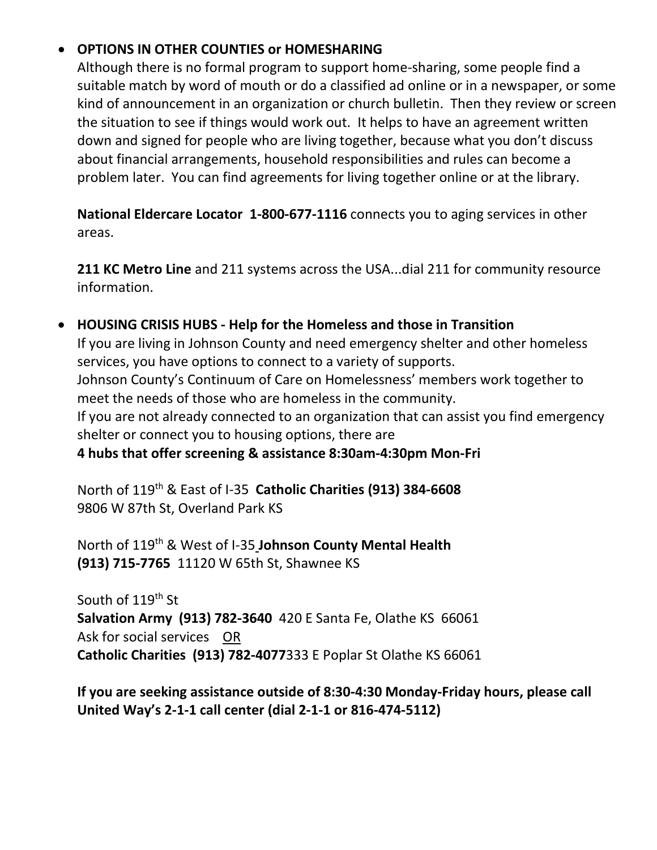## • **OPTIONS IN OTHER COUNTIES or HOMESHARING**

Although there is no formal program to support home-sharing, some people find a suitable match by word of mouth or do a classified ad online or in a newspaper, or some kind of announcement in an organization or church bulletin. Then they review or screen the situation to see if things would work out. It helps to have an agreement written down and signed for people who are living together, because what you don't discuss about financial arrangements, household responsibilities and rules can become a problem later. You can find agreements for living together online or at the library.

**National Eldercare Locator 1-800-677-1116** connects you to aging services in other areas.

**211 KC Metro Line** and 211 systems across the USA...dial 211 for community resource information.

#### • **HOUSING CRISIS HUBS - Help for the Homeless and those in Transition**

If you are living in Johnson County and need emergency shelter and other homeless services, you have options to connect to a variety of supports. Johnson County's Continuum of Care on Homelessness' members work together to meet the needs of those who are homeless in the community. If you are not already connected to an organization that can assist you find emergency shelter or connect you to housing options, there are

**4 hubs that offer screening & assistance 8:30am-4:30pm Mon-Fri** 

North of 119th & East of I-35 **Catholic Charities (913) 384-6608** 9806 W 87th St, Overland Park KS

North of 119th & West of I-35 **Johnson County Mental Health (913) 715-7765** 11120 W 65th St, Shawnee KS

South of 119<sup>th</sup> St **Salvation Army (913) 782-3640** 420 E Santa Fe, Olathe KS 66061 Ask for social services OR **Catholic Charities (913) 782-4077**333 E Poplar St Olathe KS 66061

## **If you are seeking assistance outside of 8:30-4:30 Monday-Friday hours, please call United Way's 2-1-1 call center (dial 2-1-1 or 816-474-5112)**